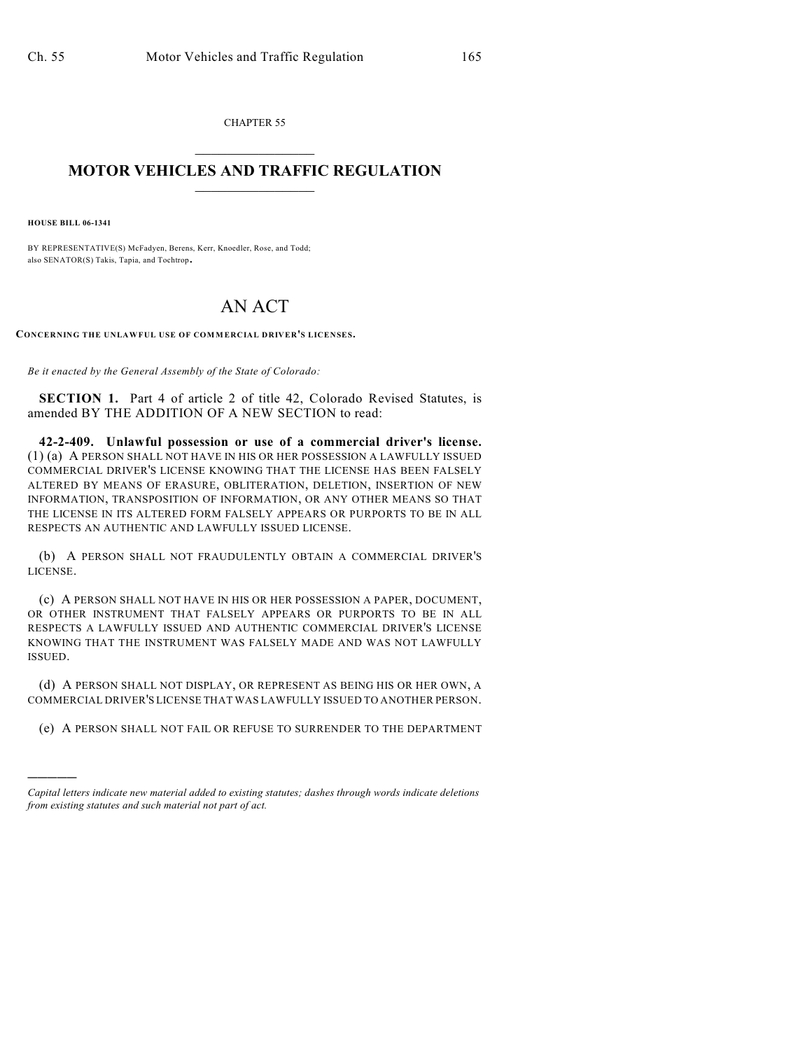CHAPTER 55  $\overline{\phantom{a}}$  . The set of the set of the set of the set of the set of the set of the set of the set of the set of the set of the set of the set of the set of the set of the set of the set of the set of the set of the set o

## **MOTOR VEHICLES AND TRAFFIC REGULATION**  $\frac{1}{2}$  ,  $\frac{1}{2}$  ,  $\frac{1}{2}$  ,  $\frac{1}{2}$  ,  $\frac{1}{2}$  ,  $\frac{1}{2}$  ,  $\frac{1}{2}$  ,  $\frac{1}{2}$

**HOUSE BILL 06-1341**

)))))

BY REPRESENTATIVE(S) McFadyen, Berens, Kerr, Knoedler, Rose, and Todd; also SENATOR(S) Takis, Tapia, and Tochtrop.

## AN ACT

**CONCERNING THE UNLAWFUL USE OF COM MERCIAL DRIVER'S LICENSES.**

*Be it enacted by the General Assembly of the State of Colorado:*

**SECTION 1.** Part 4 of article 2 of title 42, Colorado Revised Statutes, is amended BY THE ADDITION OF A NEW SECTION to read:

**42-2-409. Unlawful possession or use of a commercial driver's license.** (1) (a) A PERSON SHALL NOT HAVE IN HIS OR HER POSSESSION A LAWFULLY ISSUED COMMERCIAL DRIVER'S LICENSE KNOWING THAT THE LICENSE HAS BEEN FALSELY ALTERED BY MEANS OF ERASURE, OBLITERATION, DELETION, INSERTION OF NEW INFORMATION, TRANSPOSITION OF INFORMATION, OR ANY OTHER MEANS SO THAT THE LICENSE IN ITS ALTERED FORM FALSELY APPEARS OR PURPORTS TO BE IN ALL RESPECTS AN AUTHENTIC AND LAWFULLY ISSUED LICENSE.

(b) A PERSON SHALL NOT FRAUDULENTLY OBTAIN A COMMERCIAL DRIVER'S LICENSE.

(c) A PERSON SHALL NOT HAVE IN HIS OR HER POSSESSION A PAPER, DOCUMENT, OR OTHER INSTRUMENT THAT FALSELY APPEARS OR PURPORTS TO BE IN ALL RESPECTS A LAWFULLY ISSUED AND AUTHENTIC COMMERCIAL DRIVER'S LICENSE KNOWING THAT THE INSTRUMENT WAS FALSELY MADE AND WAS NOT LAWFULLY ISSUED.

(d) A PERSON SHALL NOT DISPLAY, OR REPRESENT AS BEING HIS OR HER OWN, A COMMERCIAL DRIVER'S LICENSE THAT WAS LAWFULLY ISSUED TO ANOTHER PERSON.

(e) A PERSON SHALL NOT FAIL OR REFUSE TO SURRENDER TO THE DEPARTMENT

*Capital letters indicate new material added to existing statutes; dashes through words indicate deletions from existing statutes and such material not part of act.*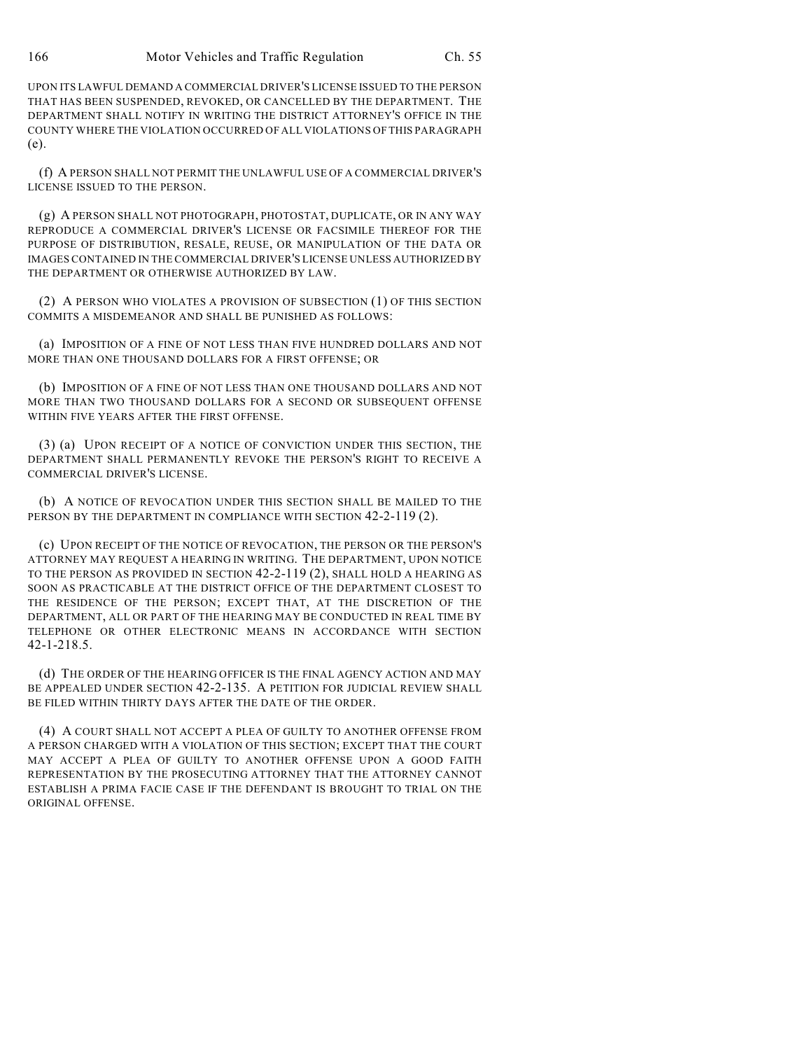UPON ITS LAWFUL DEMAND A COMMERCIAL DRIVER'S LICENSE ISSUED TO THE PERSON THAT HAS BEEN SUSPENDED, REVOKED, OR CANCELLED BY THE DEPARTMENT. THE DEPARTMENT SHALL NOTIFY IN WRITING THE DISTRICT ATTORNEY'S OFFICE IN THE COUNTY WHERE THE VIOLATION OCCURRED OF ALL VIOLATIONS OF THIS PARAGRAPH (e).

(f) A PERSON SHALL NOT PERMIT THE UNLAWFUL USE OF A COMMERCIAL DRIVER'S LICENSE ISSUED TO THE PERSON.

(g) A PERSON SHALL NOT PHOTOGRAPH, PHOTOSTAT, DUPLICATE, OR IN ANY WAY REPRODUCE A COMMERCIAL DRIVER'S LICENSE OR FACSIMILE THEREOF FOR THE PURPOSE OF DISTRIBUTION, RESALE, REUSE, OR MANIPULATION OF THE DATA OR IMAGES CONTAINED IN THE COMMERCIAL DRIVER'S LICENSE UNLESS AUTHORIZED BY THE DEPARTMENT OR OTHERWISE AUTHORIZED BY LAW.

(2) A PERSON WHO VIOLATES A PROVISION OF SUBSECTION (1) OF THIS SECTION COMMITS A MISDEMEANOR AND SHALL BE PUNISHED AS FOLLOWS:

(a) IMPOSITION OF A FINE OF NOT LESS THAN FIVE HUNDRED DOLLARS AND NOT MORE THAN ONE THOUSAND DOLLARS FOR A FIRST OFFENSE; OR

(b) IMPOSITION OF A FINE OF NOT LESS THAN ONE THOUSAND DOLLARS AND NOT MORE THAN TWO THOUSAND DOLLARS FOR A SECOND OR SUBSEQUENT OFFENSE WITHIN FIVE YEARS AFTER THE FIRST OFFENSE.

(3) (a) UPON RECEIPT OF A NOTICE OF CONVICTION UNDER THIS SECTION, THE DEPARTMENT SHALL PERMANENTLY REVOKE THE PERSON'S RIGHT TO RECEIVE A COMMERCIAL DRIVER'S LICENSE.

(b) A NOTICE OF REVOCATION UNDER THIS SECTION SHALL BE MAILED TO THE PERSON BY THE DEPARTMENT IN COMPLIANCE WITH SECTION 42-2-119 (2).

(c) UPON RECEIPT OF THE NOTICE OF REVOCATION, THE PERSON OR THE PERSON'S ATTORNEY MAY REQUEST A HEARING IN WRITING. THE DEPARTMENT, UPON NOTICE TO THE PERSON AS PROVIDED IN SECTION 42-2-119 (2), SHALL HOLD A HEARING AS SOON AS PRACTICABLE AT THE DISTRICT OFFICE OF THE DEPARTMENT CLOSEST TO THE RESIDENCE OF THE PERSON; EXCEPT THAT, AT THE DISCRETION OF THE DEPARTMENT, ALL OR PART OF THE HEARING MAY BE CONDUCTED IN REAL TIME BY TELEPHONE OR OTHER ELECTRONIC MEANS IN ACCORDANCE WITH SECTION 42-1-218.5.

(d) THE ORDER OF THE HEARING OFFICER IS THE FINAL AGENCY ACTION AND MAY BE APPEALED UNDER SECTION 42-2-135. A PETITION FOR JUDICIAL REVIEW SHALL BE FILED WITHIN THIRTY DAYS AFTER THE DATE OF THE ORDER.

(4) A COURT SHALL NOT ACCEPT A PLEA OF GUILTY TO ANOTHER OFFENSE FROM A PERSON CHARGED WITH A VIOLATION OF THIS SECTION; EXCEPT THAT THE COURT MAY ACCEPT A PLEA OF GUILTY TO ANOTHER OFFENSE UPON A GOOD FAITH REPRESENTATION BY THE PROSECUTING ATTORNEY THAT THE ATTORNEY CANNOT ESTABLISH A PRIMA FACIE CASE IF THE DEFENDANT IS BROUGHT TO TRIAL ON THE ORIGINAL OFFENSE.